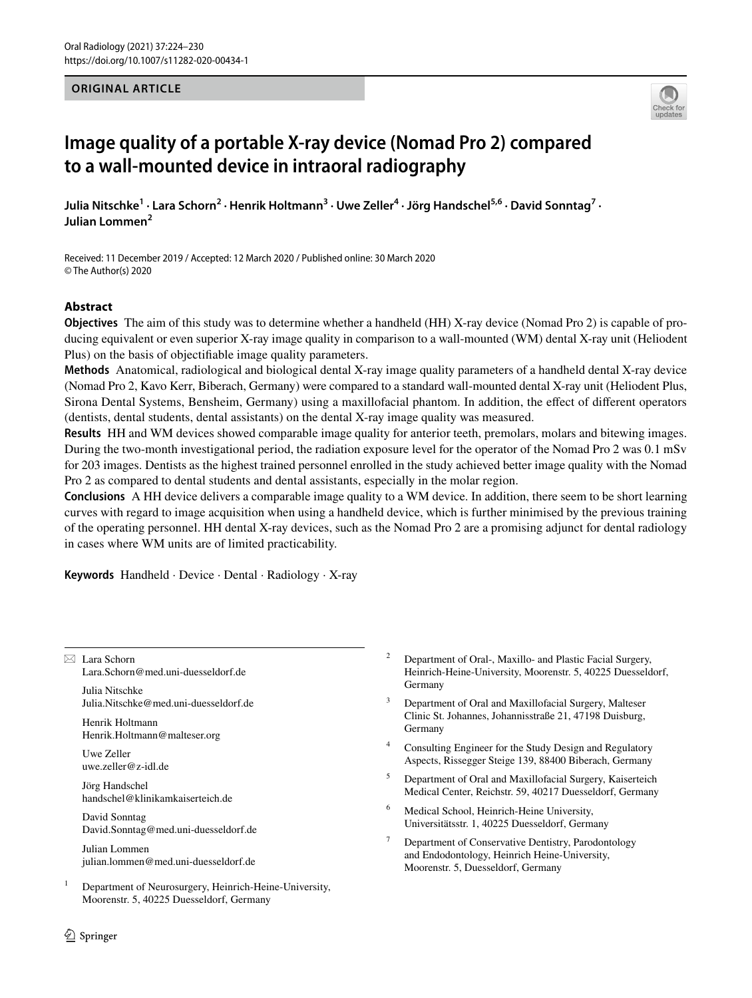### **ORIGINAL ARTICLE**



# **Image quality of a portable X‑ray device (Nomad Pro 2) compared to a wall‑mounted device in intraoral radiography**

Julia Nitschke<sup>1</sup> · Lara Schorn<sup>2</sup> · Henrik Holtmann<sup>3</sup> · Uwe Zeller<sup>4</sup> · Jörg Handschel<sup>5,6</sup> · David Sonntag<sup>7</sup> · **Julian Lommen<sup>2</sup>**

Received: 11 December 2019 / Accepted: 12 March 2020 / Published online: 30 March 2020 © The Author(s) 2020

## **Abstract**

**Objectives** The aim of this study was to determine whether a handheld (HH) X-ray device (Nomad Pro 2) is capable of producing equivalent or even superior X-ray image quality in comparison to a wall-mounted (WM) dental X-ray unit (Heliodent Plus) on the basis of objectifable image quality parameters.

**Methods** Anatomical, radiological and biological dental X-ray image quality parameters of a handheld dental X-ray device (Nomad Pro 2, Kavo Kerr, Biberach, Germany) were compared to a standard wall-mounted dental X-ray unit (Heliodent Plus, Sirona Dental Systems, Bensheim, Germany) using a maxillofacial phantom. In addition, the efect of diferent operators (dentists, dental students, dental assistants) on the dental X-ray image quality was measured.

**Results** HH and WM devices showed comparable image quality for anterior teeth, premolars, molars and bitewing images. During the two-month investigational period, the radiation exposure level for the operator of the Nomad Pro 2 was 0.1 mSv for 203 images. Dentists as the highest trained personnel enrolled in the study achieved better image quality with the Nomad Pro 2 as compared to dental students and dental assistants, especially in the molar region.

**Conclusions** A HH device delivers a comparable image quality to a WM device. In addition, there seem to be short learning curves with regard to image acquisition when using a handheld device, which is further minimised by the previous training of the operating personnel. HH dental X-ray devices, such as the Nomad Pro 2 are a promising adjunct for dental radiology in cases where WM units are of limited practicability.

**Keywords** Handheld · Device · Dental · Radiology · X-ray

 $\boxtimes$  Lara Schorn Lara.Schorn@med.uni-duesseldorf.de

Julia Nitschke Julia.Nitschke@med.uni-duesseldorf.de

Henrik Holtmann Henrik.Holtmann@malteser.org

Uwe Zeller uwe.zeller@z-idl.de

Jörg Handschel handschel@klinikamkaiserteich.de

David Sonntag David.Sonntag@med.uni-duesseldorf.de

Julian Lommen julian.lommen@med.uni-duesseldorf.de

 $1$  Department of Neurosurgery, Heinrich-Heine-University, Moorenstr. 5, 40225 Duesseldorf, Germany

- <sup>2</sup> Department of Oral-, Maxillo- and Plastic Facial Surgery, Heinrich-Heine-University, Moorenstr. 5, 40225 Duesseldorf, Germany
- Department of Oral and Maxillofacial Surgery, Malteser Clinic St. Johannes, Johannisstraße 21, 47198 Duisburg, Germany
- <sup>4</sup> Consulting Engineer for the Study Design and Regulatory Aspects, Rissegger Steige 139, 88400 Biberach, Germany
- <sup>5</sup> Department of Oral and Maxillofacial Surgery, Kaiserteich Medical Center, Reichstr. 59, 40217 Duesseldorf, Germany
- <sup>6</sup> Medical School, Heinrich-Heine University, Universitätsstr. 1, 40225 Duesseldorf, Germany
- <sup>7</sup> Department of Conservative Dentistry, Parodontology and Endodontology, Heinrich Heine-University, Moorenstr. 5, Duesseldorf, Germany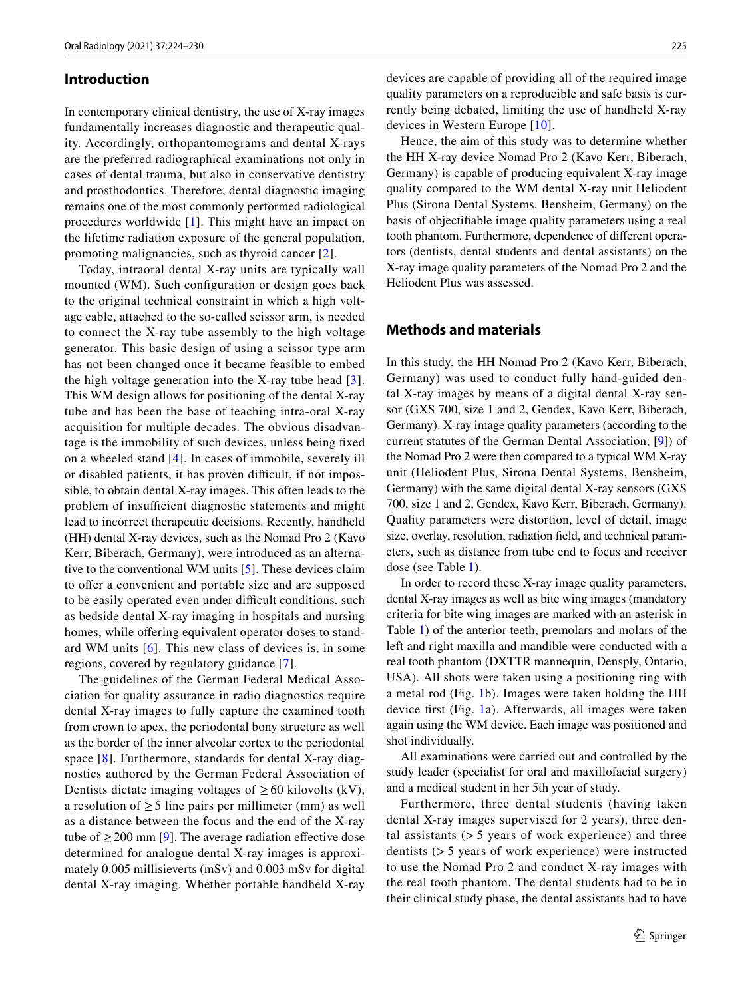#### **Introduction**

In contemporary clinical dentistry, the use of X-ray images fundamentally increases diagnostic and therapeutic quality. Accordingly, orthopantomograms and dental X-rays are the preferred radiographical examinations not only in cases of dental trauma, but also in conservative dentistry and prosthodontics. Therefore, dental diagnostic imaging remains one of the most commonly performed radiological procedures worldwide [[1](#page-6-0)]. This might have an impact on the lifetime radiation exposure of the general population, promoting malignancies, such as thyroid cancer [[2](#page-6-1)].

Today, intraoral dental X-ray units are typically wall mounted (WM). Such configuration or design goes back to the original technical constraint in which a high voltage cable, attached to the so-called scissor arm, is needed to connect the X-ray tube assembly to the high voltage generator. This basic design of using a scissor type arm has not been changed once it became feasible to embed the high voltage generation into the X-ray tube head [[3](#page-6-2)]. This WM design allows for positioning of the dental X-ray tube and has been the base of teaching intra-oral X-ray acquisition for multiple decades. The obvious disadvantage is the immobility of such devices, unless being fxed on a wheeled stand [[4](#page-6-3)]. In cases of immobile, severely ill or disabled patients, it has proven difficult, if not impossible, to obtain dental X-ray images. This often leads to the problem of insufficient diagnostic statements and might lead to incorrect therapeutic decisions. Recently, handheld (HH) dental X-ray devices, such as the Nomad Pro 2 (Kavo Kerr, Biberach, Germany), were introduced as an alternative to the conventional WM units [[5](#page-6-4)]. These devices claim to offer a convenient and portable size and are supposed to be easily operated even under difficult conditions, such as bedside dental X-ray imaging in hospitals and nursing homes, while offering equivalent operator doses to standard WM units [[6\]](#page-6-5). This new class of devices is, in some regions, covered by regulatory guidance [\[7](#page-6-6)].

The guidelines of the German Federal Medical Association for quality assurance in radio diagnostics require dental X-ray images to fully capture the examined tooth from crown to apex, the periodontal bony structure as well as the border of the inner alveolar cortex to the periodontal space [[8](#page-6-7)]. Furthermore, standards for dental X-ray diagnostics authored by the German Federal Association of Dentists dictate imaging voltages of  $\geq 60$  kilovolts (kV), a resolution of  $\geq$  5 line pairs per millimeter (mm) as well as a distance between the focus and the end of the X-ray tube of  $\geq$  200 mm [\[9](#page-6-8)]. The average radiation effective dose determined for analogue dental X-ray images is approximately 0.005 millisieverts (mSv) and 0.003 mSv for digital dental X-ray imaging. Whether portable handheld X-ray

devices are capable of providing all of the required image quality parameters on a reproducible and safe basis is currently being debated, limiting the use of handheld X-ray devices in Western Europe [\[10\]](#page-6-9).

Hence, the aim of this study was to determine whether the HH X-ray device Nomad Pro 2 (Kavo Kerr, Biberach, Germany) is capable of producing equivalent X-ray image quality compared to the WM dental X-ray unit Heliodent Plus (Sirona Dental Systems, Bensheim, Germany) on the basis of objectifable image quality parameters using a real tooth phantom. Furthermore, dependence of diferent operators (dentists, dental students and dental assistants) on the X-ray image quality parameters of the Nomad Pro 2 and the Heliodent Plus was assessed.

# **Methods and materials**

In this study, the HH Nomad Pro 2 (Kavo Kerr, Biberach, Germany) was used to conduct fully hand-guided dental X-ray images by means of a digital dental X-ray sensor (GXS 700, size 1 and 2, Gendex, Kavo Kerr, Biberach, Germany). X-ray image quality parameters (according to the current statutes of the German Dental Association; [\[9](#page-6-8)]) of the Nomad Pro 2 were then compared to a typical WM X-ray unit (Heliodent Plus, Sirona Dental Systems, Bensheim, Germany) with the same digital dental X-ray sensors (GXS 700, size 1 and 2, Gendex, Kavo Kerr, Biberach, Germany). Quality parameters were distortion, level of detail, image size, overlay, resolution, radiation feld, and technical parameters, such as distance from tube end to focus and receiver dose (see Table [1\)](#page-2-0).

In order to record these X-ray image quality parameters, dental X-ray images as well as bite wing images (mandatory criteria for bite wing images are marked with an asterisk in Table [1\)](#page-2-0) of the anterior teeth, premolars and molars of the left and right maxilla and mandible were conducted with a real tooth phantom (DXTTR mannequin, Densply, Ontario, USA). All shots were taken using a positioning ring with a metal rod (Fig. [1](#page-2-1)b). Images were taken holding the HH device frst (Fig. [1a](#page-2-1)). Afterwards, all images were taken again using the WM device. Each image was positioned and shot individually.

All examinations were carried out and controlled by the study leader (specialist for oral and maxillofacial surgery) and a medical student in her 5th year of study.

Furthermore, three dental students (having taken dental X-ray images supervised for 2 years), three dental assistants  $(55 \text{ years of work experience})$  and three dentists (> 5 years of work experience) were instructed to use the Nomad Pro 2 and conduct X-ray images with the real tooth phantom. The dental students had to be in their clinical study phase, the dental assistants had to have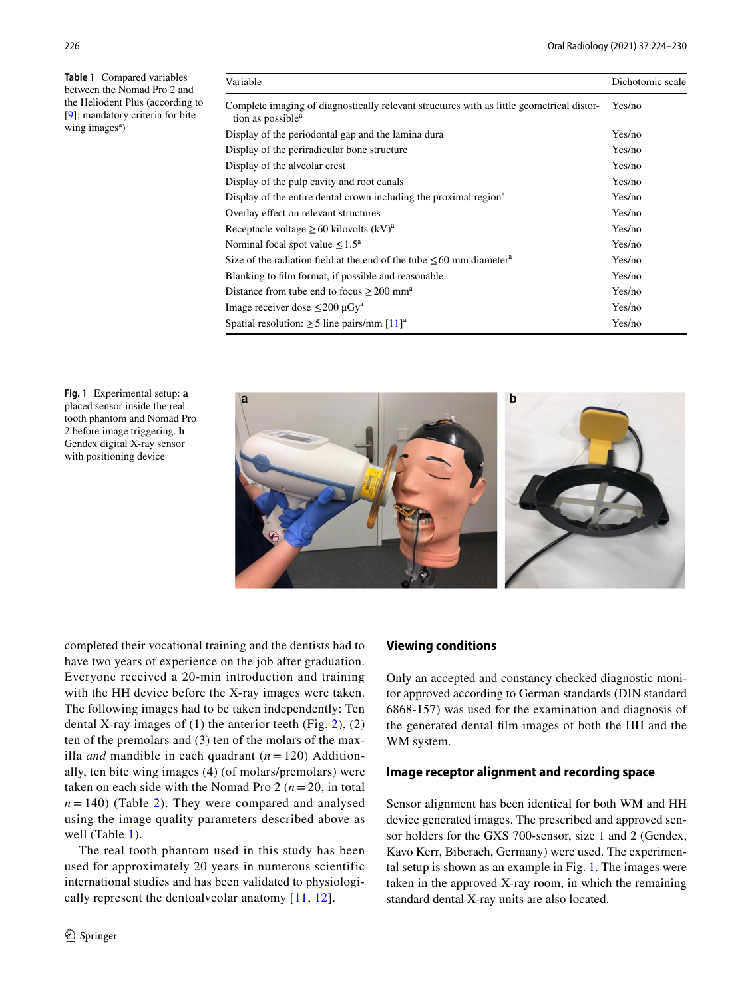<span id="page-2-0"></span>**Table 1** Compared variables between the Nomad Pro 2 and the Heliodent Plus (according to [[9](#page-6-8)]; mandatory criteria for bite wing images<sup>a</sup>)

| Variable                                                                                                                   | Dichotomic scale |
|----------------------------------------------------------------------------------------------------------------------------|------------------|
| Complete imaging of diagnostically relevant structures with as little geometrical distor-<br>tion as possible <sup>a</sup> | Yes/no           |
| Display of the periodontal gap and the lamina dura                                                                         | Yes/no           |
| Display of the periradicular bone structure                                                                                | Yes/no           |
| Display of the alveolar crest                                                                                              | Yes/no           |
| Display of the pulp cavity and root canals                                                                                 | Yes/no           |
| Display of the entire dental crown including the proximal region <sup>a</sup>                                              | Yes/no           |
| Overlay effect on relevant structures                                                                                      | Yes/no           |
| Receptacle voltage $\geq 60$ kilovolts (kV) <sup>a</sup>                                                                   | Yes/no           |
| Nominal focal spot value $\leq 1.5^{\text{a}}$                                                                             | Yes/no           |
| Size of the radiation field at the end of the tube $\leq 60$ mm diameter <sup>a</sup>                                      | Yes/no           |
| Blanking to film format, if possible and reasonable                                                                        | Yes/no           |
| Distance from tube end to focus $\geq$ 200 mm <sup>a</sup>                                                                 | Yes/no           |
| Image receiver dose $\leq 200 \mu Gy^a$                                                                                    | Yes/no           |
| Spatial resolution: $\geq$ 5 line pairs/mm [11] <sup>a</sup>                                                               | Yes/no           |

<span id="page-2-1"></span>**Fig. 1** Experimental setup: **a** placed sensor inside the real tooth phantom and Nomad Pro 2 before image triggering. **b** Gendex digital X-ray sensor with positioning device



completed their vocational training and the dentists had to have two years of experience on the job after graduation. Everyone received a 20-min introduction and training with the HH device before the X-ray images were taken. The following images had to be taken independently: Ten dental X-ray images of  $(1)$  the anterior teeth (Fig. [2](#page-3-0)),  $(2)$ ten of the premolars and (3) ten of the molars of the maxilla *and* mandible in each quadrant (*n* = 120) Additionally, ten bite wing images (4) (of molars/premolars) were taken on each side with the Nomad Pro 2 ( $n = 20$ , in total  $n = 140$ ) (Table [2](#page-3-1)). They were compared and analysed using the image quality parameters described above as well (Table [1\)](#page-2-0).

The real tooth phantom used in this study has been used for approximately 20 years in numerous scientific international studies and has been validated to physiologically represent the dentoalveolar anatomy [\[11,](#page-6-10) [12\]](#page-6-11).

## **Viewing conditions**

Only an accepted and constancy checked diagnostic monitor approved according to German standards (DIN standard 6868-157) was used for the examination and diagnosis of the generated dental flm images of both the HH and the WM system.

#### **Image receptor alignment and recording space**

Sensor alignment has been identical for both WM and HH device generated images. The prescribed and approved sensor holders for the GXS 700-sensor, size 1 and 2 (Gendex, Kavo Kerr, Biberach, Germany) were used. The experimental setup is shown as an example in Fig. [1](#page-2-1). The images were taken in the approved X-ray room, in which the remaining standard dental X-ray units are also located.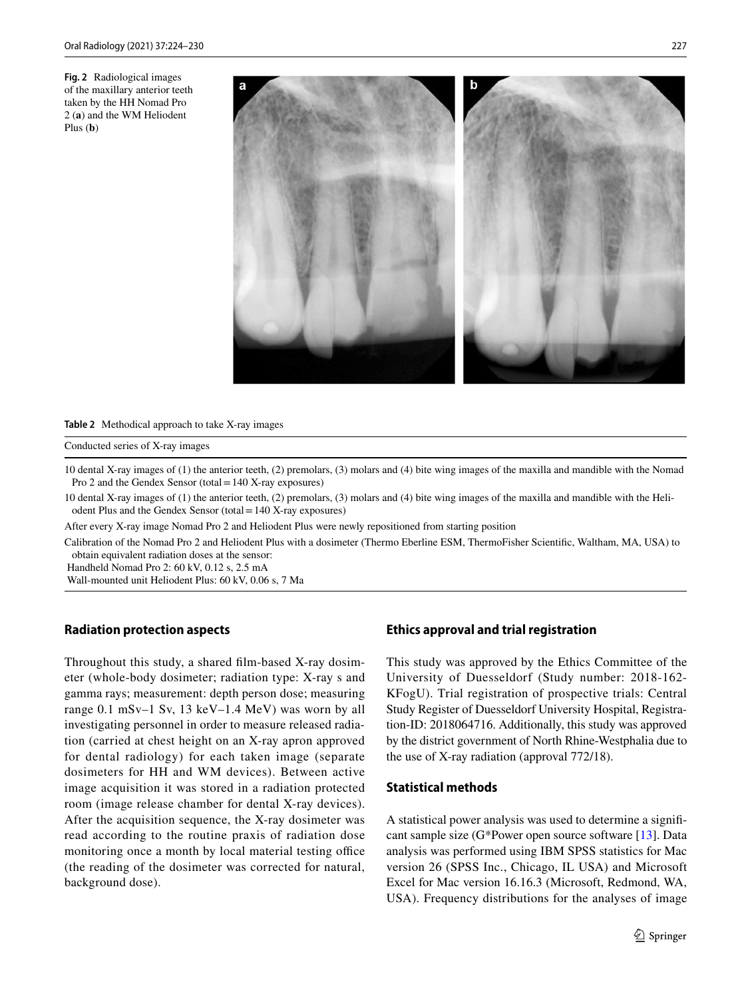<span id="page-3-0"></span>**Fig. 2** Radiological images of the maxillary anterior teeth taken by the HH Nomad Pro 2 (**a**) and the WM Heliodent Plus (**b**)



#### <span id="page-3-1"></span>**Table 2** Methodical approach to take X-ray images

#### Conducted series of X-ray images

10 dental X-ray images of (1) the anterior teeth, (2) premolars, (3) molars and (4) bite wing images of the maxilla and mandible with the Nomad Pro 2 and the Gendex Sensor (total=140 X-ray exposures)

10 dental X-ray images of (1) the anterior teeth, (2) premolars, (3) molars and (4) bite wing images of the maxilla and mandible with the Heliodent Plus and the Gendex Sensor (total=140 X-ray exposures)

After every X-ray image Nomad Pro 2 and Heliodent Plus were newly repositioned from starting position

Calibration of the Nomad Pro 2 and Heliodent Plus with a dosimeter (Thermo Eberline ESM, ThermoFisher Scientifc, Waltham, MA, USA) to obtain equivalent radiation doses at the sensor:

Handheld Nomad Pro 2: 60 kV, 0.12 s, 2.5 mA

Wall-mounted unit Heliodent Plus: 60 kV, 0.06 s, 7 Ma

#### **Radiation protection aspects**

Throughout this study, a shared flm-based X-ray dosimeter (whole-body dosimeter; radiation type: X-ray s and gamma rays; measurement: depth person dose; measuring range 0.1 mSv–1 Sv, 13 keV–1.4 MeV) was worn by all investigating personnel in order to measure released radiation (carried at chest height on an X-ray apron approved for dental radiology) for each taken image (separate dosimeters for HH and WM devices). Between active image acquisition it was stored in a radiation protected room (image release chamber for dental X-ray devices). After the acquisition sequence, the X-ray dosimeter was read according to the routine praxis of radiation dose monitoring once a month by local material testing office (the reading of the dosimeter was corrected for natural, background dose).

#### **Ethics approval and trial registration**

This study was approved by the Ethics Committee of the University of Duesseldorf (Study number: 2018-162- KFogU). Trial registration of prospective trials: Central Study Register of Duesseldorf University Hospital, Registration-ID: 2018064716. Additionally, this study was approved by the district government of North Rhine-Westphalia due to the use of X-ray radiation (approval 772/18).

## **Statistical methods**

A statistical power analysis was used to determine a signifcant sample size (G\*Power open source software [[13](#page-6-12)]. Data analysis was performed using IBM SPSS statistics for Mac version 26 (SPSS Inc., Chicago, IL USA) and Microsoft Excel for Mac version 16.16.3 (Microsoft, Redmond, WA, USA). Frequency distributions for the analyses of image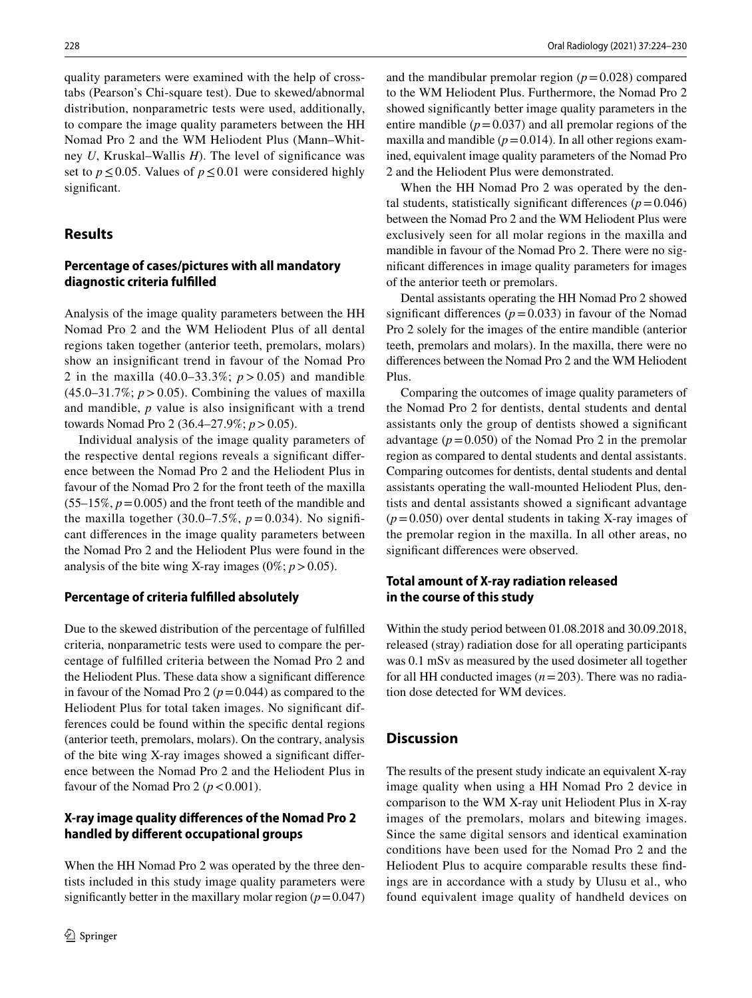quality parameters were examined with the help of crosstabs (Pearson's Chi-square test). Due to skewed/abnormal distribution, nonparametric tests were used, additionally, to compare the image quality parameters between the HH Nomad Pro 2 and the WM Heliodent Plus (Mann–Whitney *U*, Kruskal–Wallis *H*). The level of signifcance was set to  $p \le 0.05$ . Values of  $p \le 0.01$  were considered highly significant.

## **Results**

# **Percentage of cases/pictures with all mandatory diagnostic criteria fulflled**

Analysis of the image quality parameters between the HH Nomad Pro 2 and the WM Heliodent Plus of all dental regions taken together (anterior teeth, premolars, molars) show an insignifcant trend in favour of the Nomad Pro 2 in the maxilla  $(40.0-33.3\%; p > 0.05)$  and mandible  $(45.0-31.7\%; p>0.05)$ . Combining the values of maxilla and mandible, *p* value is also insignifcant with a trend towards Nomad Pro 2 (36.4–27.9%; *p*>0.05).

Individual analysis of the image quality parameters of the respective dental regions reveals a signifcant diference between the Nomad Pro 2 and the Heliodent Plus in favour of the Nomad Pro 2 for the front teeth of the maxilla  $(55-15\%, p=0.005)$  and the front teeth of the mandible and the maxilla together  $(30.0-7.5\%, p=0.034)$ . No significant diferences in the image quality parameters between the Nomad Pro 2 and the Heliodent Plus were found in the analysis of the bite wing X-ray images  $(0\%; p > 0.05)$ .

#### **Percentage of criteria fulflled absolutely**

Due to the skewed distribution of the percentage of fulflled criteria, nonparametric tests were used to compare the percentage of fulflled criteria between the Nomad Pro 2 and the Heliodent Plus. These data show a signifcant diference in favour of the Nomad Pro 2 ( $p = 0.044$ ) as compared to the Heliodent Plus for total taken images. No signifcant differences could be found within the specifc dental regions (anterior teeth, premolars, molars). On the contrary, analysis of the bite wing X-ray images showed a signifcant diference between the Nomad Pro 2 and the Heliodent Plus in favour of the Nomad Pro 2 ( $p < 0.001$ ).

## **X‑ray image quality diferences of the Nomad Pro 2 handled by diferent occupational groups**

When the HH Nomad Pro 2 was operated by the three dentists included in this study image quality parameters were significantly better in the maxillary molar region  $(p=0.047)$  and the mandibular premolar region  $(p=0.028)$  compared to the WM Heliodent Plus. Furthermore, the Nomad Pro 2 showed signifcantly better image quality parameters in the entire mandible  $(p=0.037)$  and all premolar regions of the maxilla and mandible  $(p=0.014)$ . In all other regions examined, equivalent image quality parameters of the Nomad Pro 2 and the Heliodent Plus were demonstrated.

When the HH Nomad Pro 2 was operated by the dental students, statistically significant differences  $(p=0.046)$ between the Nomad Pro 2 and the WM Heliodent Plus were exclusively seen for all molar regions in the maxilla and mandible in favour of the Nomad Pro 2. There were no signifcant diferences in image quality parameters for images of the anterior teeth or premolars.

Dental assistants operating the HH Nomad Pro 2 showed significant differences  $(p=0.033)$  in favour of the Nomad Pro 2 solely for the images of the entire mandible (anterior teeth, premolars and molars). In the maxilla, there were no diferences between the Nomad Pro 2 and the WM Heliodent Plus.

Comparing the outcomes of image quality parameters of the Nomad Pro 2 for dentists, dental students and dental assistants only the group of dentists showed a signifcant advantage  $(p=0.050)$  of the Nomad Pro 2 in the premolar region as compared to dental students and dental assistants. Comparing outcomes for dentists, dental students and dental assistants operating the wall-mounted Heliodent Plus, dentists and dental assistants showed a signifcant advantage  $(p=0.050)$  over dental students in taking X-ray images of the premolar region in the maxilla. In all other areas, no signifcant diferences were observed.

# **Total amount of X‑ray radiation released in the course of this study**

Within the study period between 01.08.2018 and 30.09.2018, released (stray) radiation dose for all operating participants was 0.1 mSv as measured by the used dosimeter all together for all HH conducted images (*n*=203). There was no radiation dose detected for WM devices.

## **Discussion**

The results of the present study indicate an equivalent X-ray image quality when using a HH Nomad Pro 2 device in comparison to the WM X-ray unit Heliodent Plus in X-ray images of the premolars, molars and bitewing images. Since the same digital sensors and identical examination conditions have been used for the Nomad Pro 2 and the Heliodent Plus to acquire comparable results these fndings are in accordance with a study by Ulusu et al., who found equivalent image quality of handheld devices on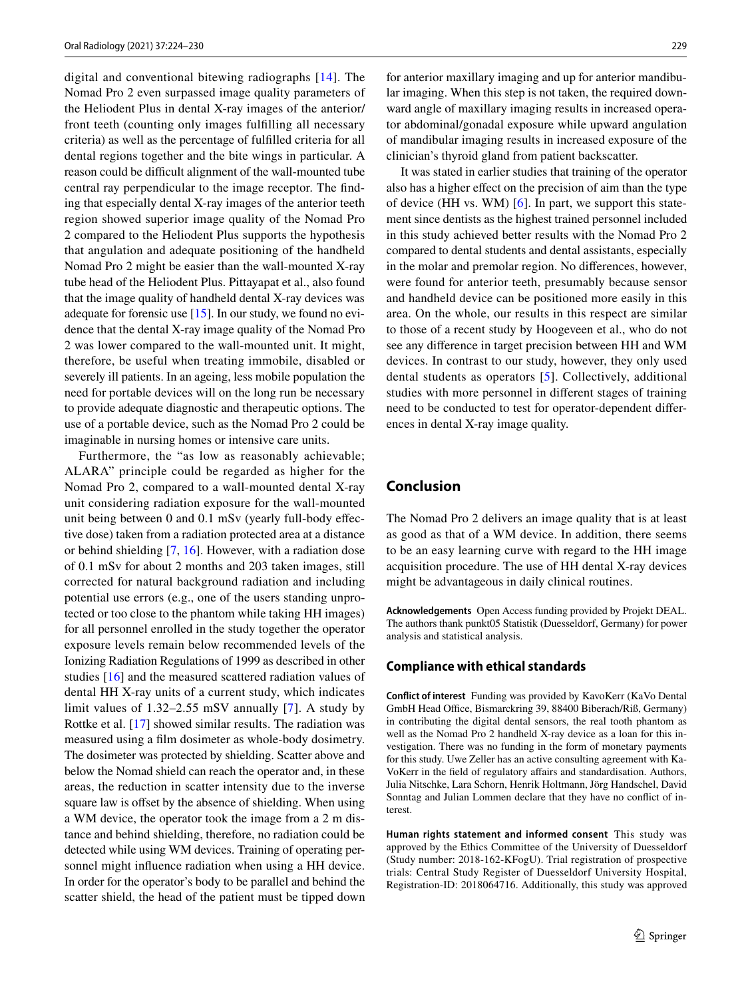digital and conventional bitewing radiographs [\[14\]](#page-6-13). The Nomad Pro 2 even surpassed image quality parameters of the Heliodent Plus in dental X-ray images of the anterior/ front teeth (counting only images fulflling all necessary criteria) as well as the percentage of fulflled criteria for all dental regions together and the bite wings in particular. A reason could be difficult alignment of the wall-mounted tube central ray perpendicular to the image receptor. The fnding that especially dental X-ray images of the anterior teeth region showed superior image quality of the Nomad Pro 2 compared to the Heliodent Plus supports the hypothesis that angulation and adequate positioning of the handheld Nomad Pro 2 might be easier than the wall-mounted X-ray tube head of the Heliodent Plus. Pittayapat et al., also found that the image quality of handheld dental X-ray devices was adequate for forensic use [\[15\]](#page-6-14). In our study, we found no evidence that the dental X-ray image quality of the Nomad Pro 2 was lower compared to the wall-mounted unit. It might, therefore, be useful when treating immobile, disabled or severely ill patients. In an ageing, less mobile population the need for portable devices will on the long run be necessary to provide adequate diagnostic and therapeutic options. The use of a portable device, such as the Nomad Pro 2 could be imaginable in nursing homes or intensive care units.

Furthermore, the "as low as reasonably achievable; ALARA" principle could be regarded as higher for the Nomad Pro 2, compared to a wall-mounted dental X-ray unit considering radiation exposure for the wall-mounted unit being between 0 and 0.1 mSv (yearly full-body efective dose) taken from a radiation protected area at a distance or behind shielding [[7](#page-6-6), [16](#page-6-15)]. However, with a radiation dose of 0.1 mSv for about 2 months and 203 taken images, still corrected for natural background radiation and including potential use errors (e.g., one of the users standing unprotected or too close to the phantom while taking HH images) for all personnel enrolled in the study together the operator exposure levels remain below recommended levels of the Ionizing Radiation Regulations of 1999 as described in other studies [\[16](#page-6-15)] and the measured scattered radiation values of dental HH X-ray units of a current study, which indicates limit values of 1.32–2.55 mSV annually [[7](#page-6-6)]. A study by Rottke et al. [[17\]](#page-6-16) showed similar results. The radiation was measured using a flm dosimeter as whole-body dosimetry. The dosimeter was protected by shielding. Scatter above and below the Nomad shield can reach the operator and, in these areas, the reduction in scatter intensity due to the inverse square law is offset by the absence of shielding. When using a WM device, the operator took the image from a 2 m distance and behind shielding, therefore, no radiation could be detected while using WM devices. Training of operating personnel might infuence radiation when using a HH device. In order for the operator's body to be parallel and behind the scatter shield, the head of the patient must be tipped down for anterior maxillary imaging and up for anterior mandibular imaging. When this step is not taken, the required downward angle of maxillary imaging results in increased operator abdominal/gonadal exposure while upward angulation of mandibular imaging results in increased exposure of the clinician's thyroid gland from patient backscatter.

It was stated in earlier studies that training of the operator also has a higher efect on the precision of aim than the type of device (HH vs. WM) [[6\]](#page-6-5). In part, we support this statement since dentists as the highest trained personnel included in this study achieved better results with the Nomad Pro 2 compared to dental students and dental assistants, especially in the molar and premolar region. No diferences, however, were found for anterior teeth, presumably because sensor and handheld device can be positioned more easily in this area. On the whole, our results in this respect are similar to those of a recent study by Hoogeveen et al., who do not see any diference in target precision between HH and WM devices. In contrast to our study, however, they only used dental students as operators [[5](#page-6-4)]. Collectively, additional studies with more personnel in diferent stages of training need to be conducted to test for operator-dependent diferences in dental X-ray image quality.

# **Conclusion**

The Nomad Pro 2 delivers an image quality that is at least as good as that of a WM device. In addition, there seems to be an easy learning curve with regard to the HH image acquisition procedure. The use of HH dental X-ray devices might be advantageous in daily clinical routines.

**Acknowledgements** Open Access funding provided by Projekt DEAL. The authors thank punkt05 Statistik (Duesseldorf, Germany) for power analysis and statistical analysis.

#### **Compliance with ethical standards**

**Conflict of interest** Funding was provided by KavoKerr (KaVo Dental GmbH Head Office, Bismarckring 39, 88400 Biberach/Riß, Germany) in contributing the digital dental sensors, the real tooth phantom as well as the Nomad Pro 2 handheld X-ray device as a loan for this investigation. There was no funding in the form of monetary payments for this study. Uwe Zeller has an active consulting agreement with Ka-VoKerr in the feld of regulatory afairs and standardisation. Authors, Julia Nitschke, Lara Schorn, Henrik Holtmann, Jörg Handschel, David Sonntag and Julian Lommen declare that they have no confict of interest.

**Human rights statement and informed consent** This study was approved by the Ethics Committee of the University of Duesseldorf (Study number: 2018-162-KFogU). Trial registration of prospective trials: Central Study Register of Duesseldorf University Hospital, Registration-ID: 2018064716. Additionally, this study was approved